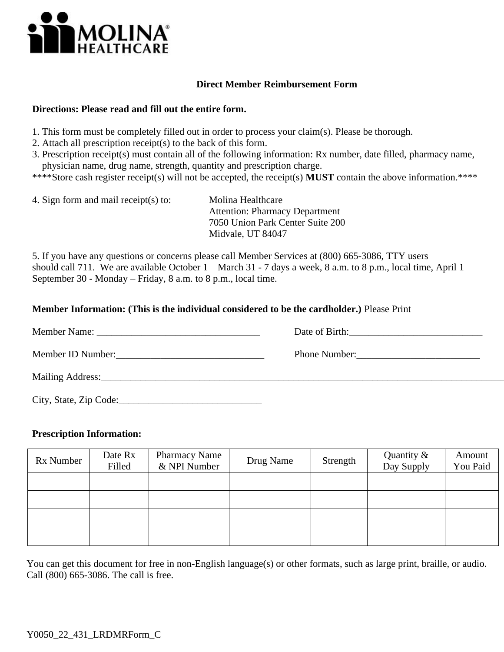

## **Direct Member Reimbursement Form**

## **Directions: Please read and fill out the entire form.**

- 1. This form must be completely filled out in order to process your claim(s). Please be thorough.
- 2. Attach all prescription receipt(s) to the back of this form.
- 3. Prescription receipt(s) must contain all of the following information: Rx number, date filled, pharmacy name, physician name, drug name, strength, quantity and prescription charge.
- \*\*\*\*Store cash register receipt(s) will not be accepted, the receipt(s) **MUST** contain the above information.\*\*\*\*
- 4. Sign form and mail receipt(s) to: Molina Healthcare Attention: Pharmacy Department 7050 Union Park Center Suite 200 Midvale, UT 84047

5. If you have any questions or concerns please call Member Services at (800) 665-3086, TTY users should call 711. We are available October  $1 -$ March 31 - 7 days a week, 8 a.m. to 8 p.m., local time, April  $1 -$ September 30 - Monday – Friday, 8 a.m. to 8 p.m., local time.

## **Member Information: (This is the individual considered to be the cardholder.)** Please Print

|                        | Date of Birth: 2008 |
|------------------------|---------------------|
|                        | Phone Number:       |
|                        |                     |
| City, State, Zip Code: |                     |

## **Prescription Information:**

| Rx Number | Date Rx<br>Filled | <b>Pharmacy Name</b><br>& NPI Number | Drug Name | Strength | Quantity $\&$<br>Day Supply | Amount<br>You Paid |
|-----------|-------------------|--------------------------------------|-----------|----------|-----------------------------|--------------------|
|           |                   |                                      |           |          |                             |                    |
|           |                   |                                      |           |          |                             |                    |
|           |                   |                                      |           |          |                             |                    |
|           |                   |                                      |           |          |                             |                    |

You can get this document for free in non-English language(s) or other formats, such as large print, braille, or audio. Call (800) 665-3086. The call is free.